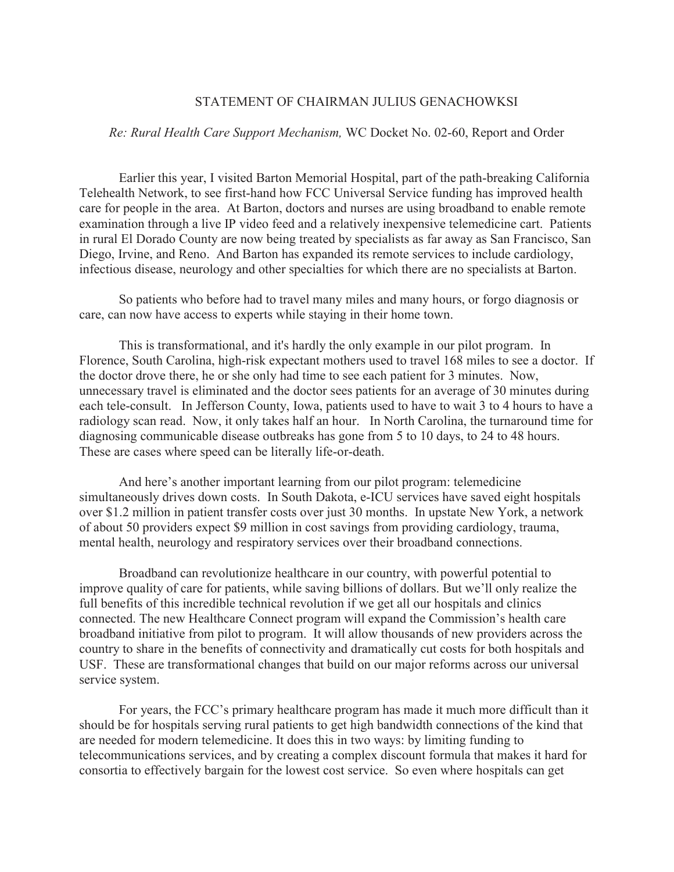## STATEMENT OF CHAIRMAN JULIUS GENACHOWKSI

## *Re: Rural Health Care Support Mechanism,* WC Docket No. 02-60, Report and Order

Earlier this year, I visited Barton Memorial Hospital, part of the path-breaking California Telehealth Network, to see first-hand how FCC Universal Service funding has improved health care for people in the area. At Barton, doctors and nurses are using broadband to enable remote examination through a live IP video feed and a relatively inexpensive telemedicine cart. Patients in rural El Dorado County are now being treated by specialists as far away as San Francisco, San Diego, Irvine, and Reno. And Barton has expanded its remote services to include cardiology, infectious disease, neurology and other specialties for which there are no specialists at Barton.

So patients who before had to travel many miles and many hours, or forgo diagnosis or care, can now have access to experts while staying in their home town.

This is transformational, and it's hardly the only example in our pilot program. In Florence, South Carolina, high-risk expectant mothers used to travel 168 miles to see a doctor. If the doctor drove there, he or she only had time to see each patient for 3 minutes. Now, unnecessary travel is eliminated and the doctor sees patients for an average of 30 minutes during each tele-consult. In Jefferson County, Iowa, patients used to have to wait 3 to 4 hours to have a radiology scan read. Now, it only takes half an hour. In North Carolina, the turnaround time for diagnosing communicable disease outbreaks has gone from 5 to 10 days, to 24 to 48 hours. These are cases where speed can be literally life-or-death.

And here's another important learning from our pilot program: telemedicine simultaneously drives down costs. In South Dakota, e-ICU services have saved eight hospitals over \$1.2 million in patient transfer costs over just 30 months. In upstate New York, a network of about 50 providers expect \$9 million in cost savings from providing cardiology, trauma, mental health, neurology and respiratory services over their broadband connections.

Broadband can revolutionize healthcare in our country, with powerful potential to improve quality of care for patients, while saving billions of dollars. But we'll only realize the full benefits of this incredible technical revolution if we get all our hospitals and clinics connected. The new Healthcare Connect program will expand the Commission's health care broadband initiative from pilot to program. It will allow thousands of new providers across the country to share in the benefits of connectivity and dramatically cut costs for both hospitals and USF. These are transformational changes that build on our major reforms across our universal service system.

For years, the FCC's primary healthcare program has made it much more difficult than it should be for hospitals serving rural patients to get high bandwidth connections of the kind that are needed for modern telemedicine. It does this in two ways: by limiting funding to telecommunications services, and by creating a complex discount formula that makes it hard for consortia to effectively bargain for the lowest cost service. So even where hospitals can get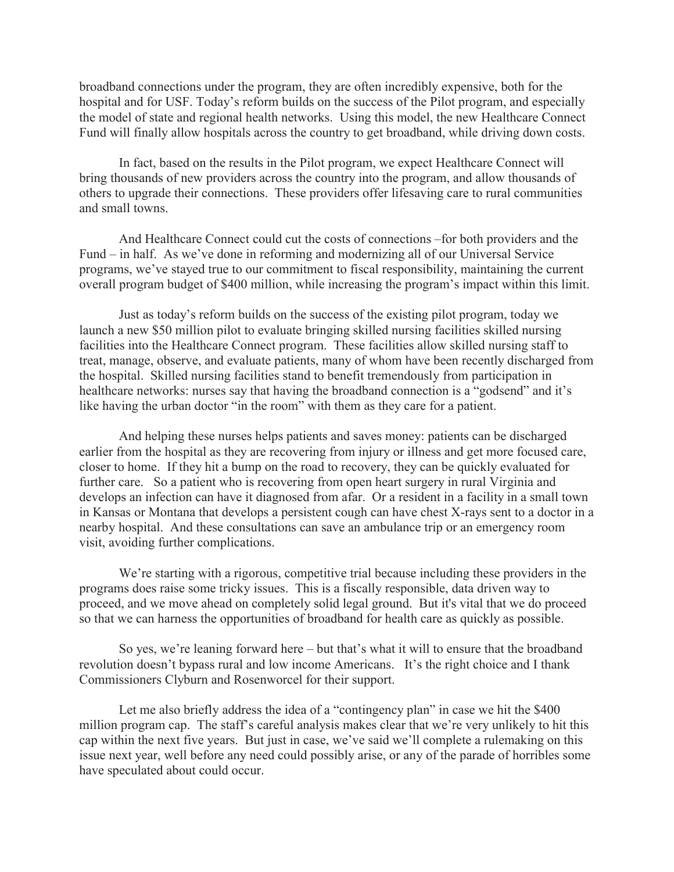broadband connections under the program, they are often incredibly expensive, both for the hospital and for USF. Today's reform builds on the success of the Pilot program, and especially the model of state and regional health networks. Using this model, the new Healthcare Connect Fund will finally allow hospitals across the country to get broadband, while driving down costs.

In fact, based on the results in the Pilot program, we expect Healthcare Connect will bring thousands of new providers across the country into the program, and allow thousands of others to upgrade their connections. These providers offer lifesaving care to rural communities and small towns.

And Healthcare Connect could cut the costs of connections –for both providers and the Fund – in half. As we've done in reforming and modernizing all of our Universal Service programs, we've stayed true to our commitment to fiscal responsibility, maintaining the current overall program budget of \$400 million, while increasing the program's impact within this limit.

Just as today's reform builds on the success of the existing pilot program, today we launch a new \$50 million pilot to evaluate bringing skilled nursing facilities skilled nursing facilities into the Healthcare Connect program. These facilities allow skilled nursing staff to treat, manage, observe, and evaluate patients, many of whom have been recently discharged from the hospital. Skilled nursing facilities stand to benefit tremendously from participation in healthcare networks: nurses say that having the broadband connection is a "godsend" and it's like having the urban doctor "in the room" with them as they care for a patient.

And helping these nurses helps patients and saves money: patients can be discharged earlier from the hospital as they are recovering from injury or illness and get more focused care, closer to home. If they hit a bump on the road to recovery, they can be quickly evaluated for further care. So a patient who is recovering from open heart surgery in rural Virginia and develops an infection can have it diagnosed from afar. Or a resident in a facility in a small town in Kansas or Montana that develops a persistent cough can have chest X-rays sent to a doctor in a nearby hospital. And these consultations can save an ambulance trip or an emergency room visit, avoiding further complications.

We're starting with a rigorous, competitive trial because including these providers in the programs does raise some tricky issues. This is a fiscally responsible, data driven way to proceed, and we move ahead on completely solid legal ground. But it's vital that we do proceed so that we can harness the opportunities of broadband for health care as quickly as possible.

So yes, we're leaning forward here – but that's what it will to ensure that the broadband revolution doesn't bypass rural and low income Americans. It's the right choice and I thank Commissioners Clyburn and Rosenworcel for their support.

Let me also briefly address the idea of a "contingency plan" in case we hit the \$400 million program cap. The staff's careful analysis makes clear that we're very unlikely to hit this cap within the next five years. But just in case, we've said we'll complete a rulemaking on this issue next year, well before any need could possibly arise, or any of the parade of horribles some have speculated about could occur.